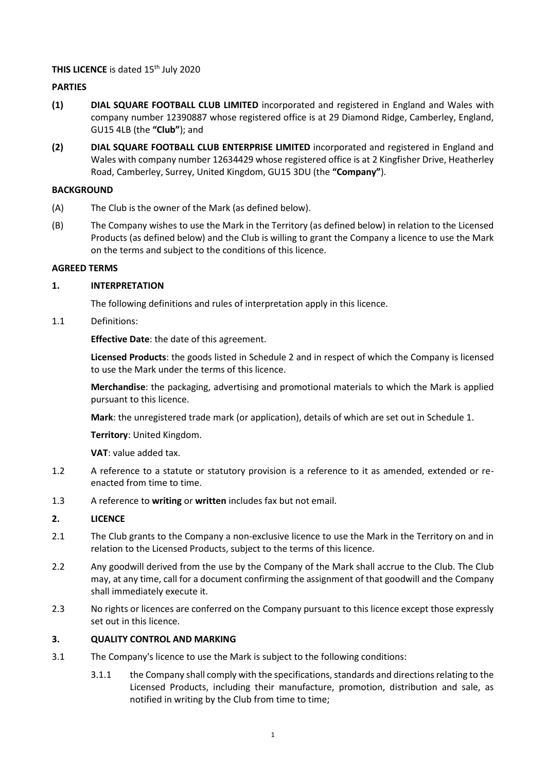# **THIS LICENCE** is dated 15<sup>th</sup> July 2020

# **PARTIES**

- **(1) DIAL SQUARE FOOTBALL CLUB LIMITED** incorporated and registered in England and Wales with company number 12390887 whose registered office is at 29 Diamond Ridge, Camberley, England, GU15 4LB (the **"Club"**); and
- **(2) DIAL SQUARE FOOTBALL CLUB ENTERPRISE LIMITED** incorporated and registered in England and Wales with company number 12634429 whose registered office is at 2 Kingfisher Drive, Heatherley Road, Camberley, Surrey, United Kingdom, GU15 3DU (the **"Company"**).

#### **BACKGROUND**

- (A) The Club is the owner of the Mark (as defined below).
- (B) The Company wishes to use the Mark in the Territory (as defined below) in relation to the Licensed Products (as defined below) and the Club is willing to grant the Company a licence to use the Mark on the terms and subject to the conditions of this licence.

#### **AGREED TERMS**

#### **1. INTERPRETATION**

The following definitions and rules of interpretation apply in this licence.

1.1 Definitions:

**Effective Date**: the date of this agreement.

**Licensed Products**: the goods listed in Schedule 2 and in respect of which the Company is licensed to use the Mark under the terms of this licence.

**Merchandise**: the packaging, advertising and promotional materials to which the Mark is applied pursuant to this licence.

**Mark**: the unregistered trade mark (or application), details of which are set out i[n Schedule 1.](#page-4-0)

**Territory**: United Kingdom.

**VAT**: value added tax.

- 1.2 A reference to a statute or statutory provision is a reference to it as amended, extended or reenacted from time to time.
- 1.3 A reference to **writing** or **written** includes fax but not email.

#### **2. LICENCE**

- 2.1 The Club grants to the Company a non-exclusive licence to use the Mark in the Territory on and in relation to the Licensed Products, subject to the terms of this licence.
- 2.2 Any goodwill derived from the use by the Company of the Mark shall accrue to the Club. The Club may, at any time, call for a document confirming the assignment of that goodwill and the Company shall immediately execute it.
- 2.3 No rights or licences are conferred on the Company pursuant to this licence except those expressly set out in this licence.

#### **3. QUALITY CONTROL AND MARKING**

- 3.1 The Company's licence to use the Mark is subject to the following conditions:
	- 3.1.1 the Company shall comply with the specifications, standards and directions relating to the Licensed Products, including their manufacture, promotion, distribution and sale, as notified in writing by the Club from time to time;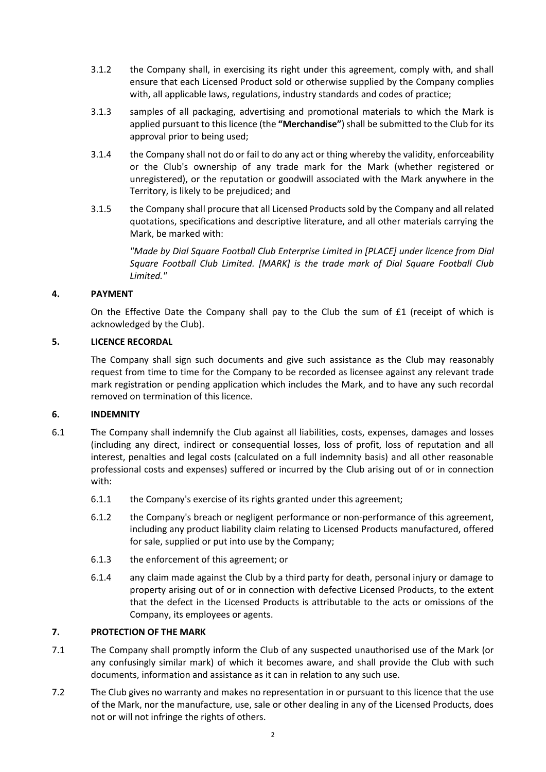- 3.1.2 the Company shall, in exercising its right under this agreement, comply with, and shall ensure that each Licensed Product sold or otherwise supplied by the Company complies with, all applicable laws, regulations, industry standards and codes of practice;
- 3.1.3 samples of all packaging, advertising and promotional materials to which the Mark is applied pursuant to this licence (the **"Merchandise"**) shall be submitted to the Club for its approval prior to being used;
- 3.1.4 the Company shall not do or fail to do any act or thing whereby the validity, enforceability or the Club's ownership of any trade mark for the Mark (whether registered or unregistered), or the reputation or goodwill associated with the Mark anywhere in the Territory, is likely to be prejudiced; and
- 3.1.5 the Company shall procure that all Licensed Products sold by the Company and all related quotations, specifications and descriptive literature, and all other materials carrying the Mark, be marked with:

*"Made by Dial Square Football Club Enterprise Limited in [PLACE] under licence from Dial Square Football Club Limited. [MARK] is the trade mark of Dial Square Football Club Limited."*

# **4. PAYMENT**

On the Effective Date the Company shall pay to the Club the sum of £1 (receipt of which is acknowledged by the Club).

# **5. LICENCE RECORDAL**

The Company shall sign such documents and give such assistance as the Club may reasonably request from time to time for the Company to be recorded as licensee against any relevant trade mark registration or pending application which includes the Mark, and to have any such recordal removed on termination of this licence.

# **6. INDEMNITY**

- 6.1 The Company shall indemnify the Club against all liabilities, costs, expenses, damages and losses (including any direct, indirect or consequential losses, loss of profit, loss of reputation and all interest, penalties and legal costs (calculated on a full indemnity basis) and all other reasonable professional costs and expenses) suffered or incurred by the Club arising out of or in connection with:
	- 6.1.1 the Company's exercise of its rights granted under this agreement;
	- 6.1.2 the Company's breach or negligent performance or non-performance of this agreement, including any product liability claim relating to Licensed Products manufactured, offered for sale, supplied or put into use by the Company;
	- 6.1.3 the enforcement of this agreement; or
	- 6.1.4 any claim made against the Club by a third party for death, personal injury or damage to property arising out of or in connection with defective Licensed Products, to the extent that the defect in the Licensed Products is attributable to the acts or omissions of the Company, its employees or agents.

# **7. PROTECTION OF THE MARK**

- 7.1 The Company shall promptly inform the Club of any suspected unauthorised use of the Mark (or any confusingly similar mark) of which it becomes aware, and shall provide the Club with such documents, information and assistance as it can in relation to any such use.
- 7.2 The Club gives no warranty and makes no representation in or pursuant to this licence that the use of the Mark, nor the manufacture, use, sale or other dealing in any of the Licensed Products, does not or will not infringe the rights of others.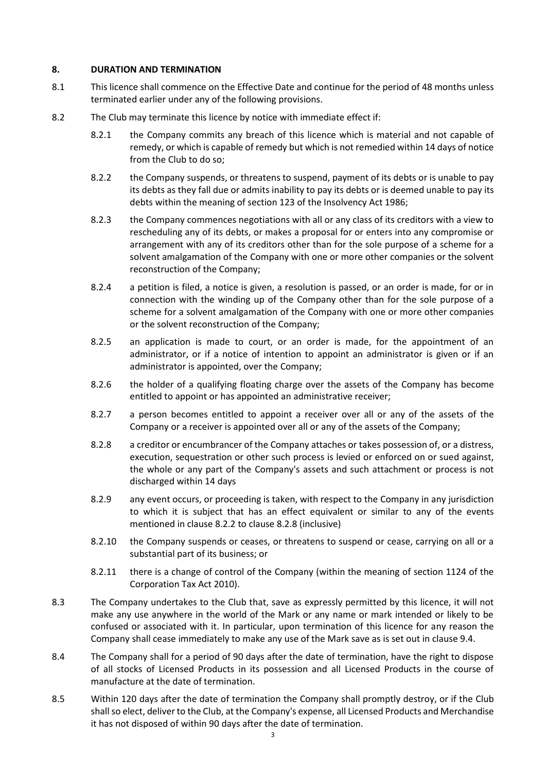### **8. DURATION AND TERMINATION**

- 8.1 This licence shall commence on the Effective Date and continue for the period of 48 months unless terminated earlier under any of the following provisions.
- <span id="page-2-0"></span>8.2 The Club may terminate this licence by notice with immediate effect if:
	- 8.2.1 the Company commits any breach of this licence which is material and not capable of remedy, or which is capable of remedy but which is not remedied within 14 days of notice from the Club to do so;
	- 8.2.2 the Company suspends, or threatens to suspend, payment of its debts or is unable to pay its debts as they fall due or admits inability to pay its debts or is deemed unable to pay its debts within the meaning of section 123 of the Insolvency Act 1986;
	- 8.2.3 the Company commences negotiations with all or any class of its creditors with a view to rescheduling any of its debts, or makes a proposal for or enters into any compromise or arrangement with any of its creditors other than for the sole purpose of a scheme for a solvent amalgamation of the Company with one or more other companies or the solvent reconstruction of the Company;
	- 8.2.4 a petition is filed, a notice is given, a resolution is passed, or an order is made, for or in connection with the winding up of the Company other than for the sole purpose of a scheme for a solvent amalgamation of the Company with one or more other companies or the solvent reconstruction of the Company;
	- 8.2.5 an application is made to court, or an order is made, for the appointment of an administrator, or if a notice of intention to appoint an administrator is given or if an administrator is appointed, over the Company;
	- 8.2.6 the holder of a qualifying floating charge over the assets of the Company has become entitled to appoint or has appointed an administrative receiver;
	- 8.2.7 a person becomes entitled to appoint a receiver over all or any of the assets of the Company or a receiver is appointed over all or any of the assets of the Company;
	- 8.2.8 a creditor or encumbrancer of the Company attaches or takes possession of, or a distress, execution, sequestration or other such process is levied or enforced on or sued against, the whole or any part of the Company's assets and such attachment or process is not discharged within 14 days
	- 8.2.9 any event occurs, or proceeding is taken, with respect to the Company in any jurisdiction to which it is subject that has an effect equivalent or similar to any of the events mentioned in claus[e 8.2.2](#page-2-0) to clause [8.2.8](#page-2-1) (inclusive)
	- 8.2.10 the Company suspends or ceases, or threatens to suspend or cease, carrying on all or a substantial part of its business; or
	- 8.2.11 there is a change of control of the Company (within the meaning of section 1124 of the Corporation Tax Act 2010).
- <span id="page-2-1"></span>8.3 The Company undertakes to the Club that, save as expressly permitted by this licence, it will not make any use anywhere in the world of the Mark or any name or mark intended or likely to be confused or associated with it. In particular, upon termination of this licence for any reason the Company shall cease immediately to make any use of the Mark save as is set out in clause 9.4.
- 8.4 The Company shall for a period of 90 days after the date of termination, have the right to dispose of all stocks of Licensed Products in its possession and all Licensed Products in the course of manufacture at the date of termination.
- 8.5 Within 120 days after the date of termination the Company shall promptly destroy, or if the Club shall so elect, deliver to the Club, at the Company's expense, all Licensed Products and Merchandise it has not disposed of within 90 days after the date of termination.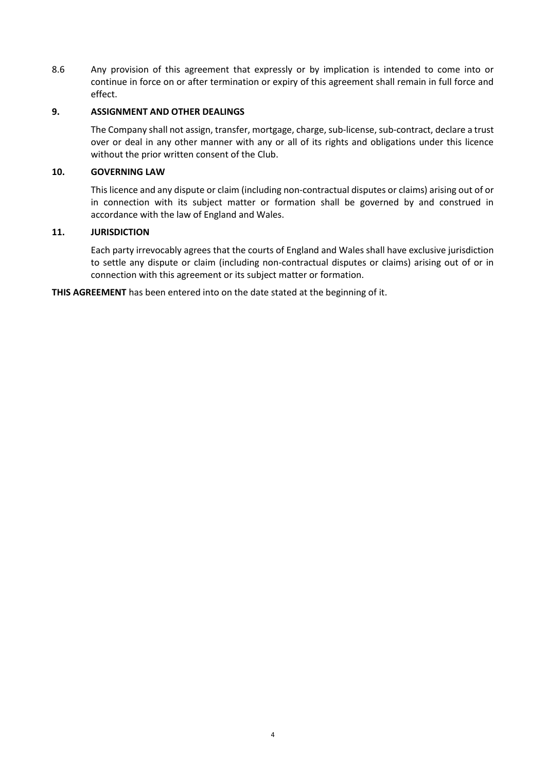8.6 Any provision of this agreement that expressly or by implication is intended to come into or continue in force on or after termination or expiry of this agreement shall remain in full force and effect.

### **9. ASSIGNMENT AND OTHER DEALINGS**

The Company shall not assign, transfer, mortgage, charge, sub-license, sub-contract, declare a trust over or deal in any other manner with any or all of its rights and obligations under this licence without the prior written consent of the Club.

### **10. GOVERNING LAW**

This licence and any dispute or claim (including non-contractual disputes or claims) arising out of or in connection with its subject matter or formation shall be governed by and construed in accordance with the law of England and Wales.

### **11. JURISDICTION**

Each party irrevocably agrees that the courts of England and Wales shall have exclusive jurisdiction to settle any dispute or claim (including non-contractual disputes or claims) arising out of or in connection with this agreement or its subject matter or formation.

**THIS AGREEMENT** has been entered into on the date stated at the beginning of it.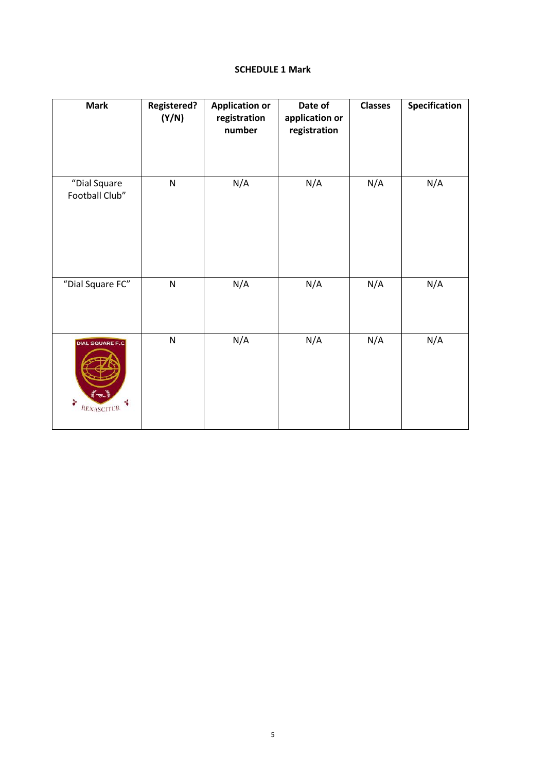### **SCHEDULE 1 Mark**

<span id="page-4-0"></span>

| <b>Mark</b>                                                     | <b>Registered?</b><br>(Y/N) | <b>Application or</b><br>registration<br>number | Date of<br>application or<br>registration | <b>Classes</b> | Specification |
|-----------------------------------------------------------------|-----------------------------|-------------------------------------------------|-------------------------------------------|----------------|---------------|
| "Dial Square<br>Football Club"                                  | ${\sf N}$                   | N/A                                             | N/A                                       | N/A            | N/A           |
| "Dial Square FC"                                                | ${\sf N}$                   | N/A                                             | N/A                                       | N/A            | N/A           |
| <b>DIAL SQUARE F.C</b><br>$\mathscr{L}$<br>r<br>÷<br>RENASCITUR | ${\sf N}$                   | N/A                                             | N/A                                       | N/A            | N/A           |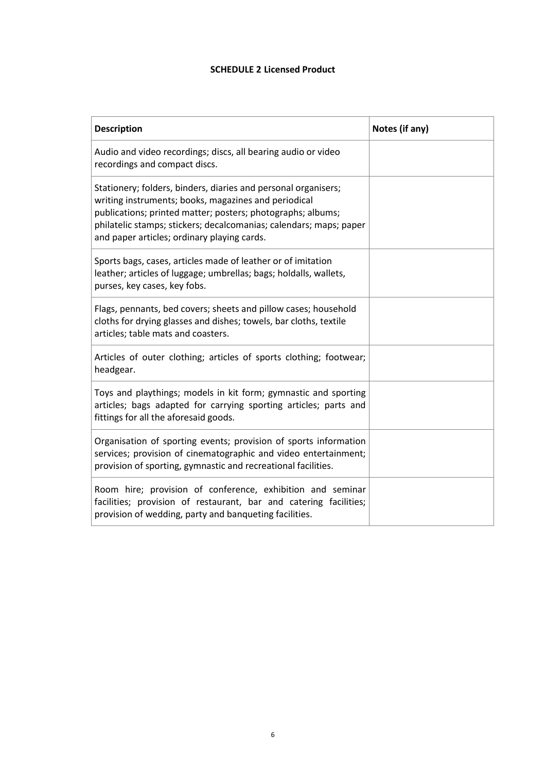# **SCHEDULE 2 Licensed Product**

| <b>Description</b>                                                                                                                                                                                                                                                                                         | Notes (if any) |
|------------------------------------------------------------------------------------------------------------------------------------------------------------------------------------------------------------------------------------------------------------------------------------------------------------|----------------|
| Audio and video recordings; discs, all bearing audio or video<br>recordings and compact discs.                                                                                                                                                                                                             |                |
| Stationery; folders, binders, diaries and personal organisers;<br>writing instruments; books, magazines and periodical<br>publications; printed matter; posters; photographs; albums;<br>philatelic stamps; stickers; decalcomanias; calendars; maps; paper<br>and paper articles; ordinary playing cards. |                |
| Sports bags, cases, articles made of leather or of imitation<br>leather; articles of luggage; umbrellas; bags; holdalls, wallets,<br>purses, key cases, key fobs.                                                                                                                                          |                |
| Flags, pennants, bed covers; sheets and pillow cases; household<br>cloths for drying glasses and dishes; towels, bar cloths, textile<br>articles; table mats and coasters.                                                                                                                                 |                |
| Articles of outer clothing; articles of sports clothing; footwear;<br>headgear.                                                                                                                                                                                                                            |                |
| Toys and playthings; models in kit form; gymnastic and sporting<br>articles; bags adapted for carrying sporting articles; parts and<br>fittings for all the aforesaid goods.                                                                                                                               |                |
| Organisation of sporting events; provision of sports information<br>services; provision of cinematographic and video entertainment;<br>provision of sporting, gymnastic and recreational facilities.                                                                                                       |                |
| Room hire; provision of conference, exhibition and seminar<br>facilities; provision of restaurant, bar and catering facilities;<br>provision of wedding, party and banqueting facilities.                                                                                                                  |                |